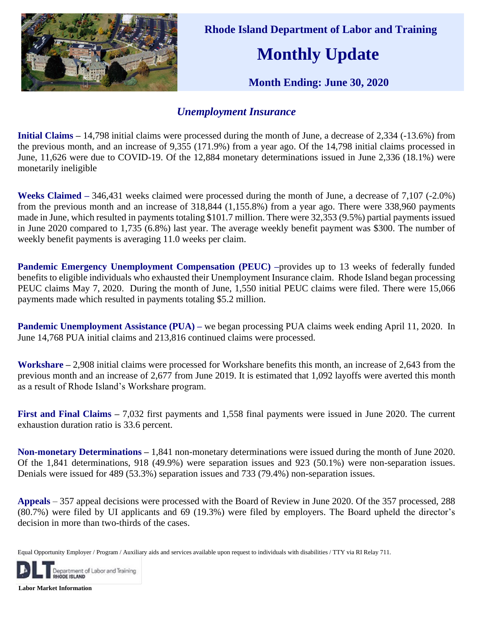

 **Rhode Island Department of Labor and Training**

## **Monthly Update**

 **Month Ending: June 30, 2020**

## *Unemployment Insurance*

**Initial Claims –** 14,798 initial claims were processed during the month of June, a decrease of 2,334 (-13.6%) from the previous month, and an increase of 9,355 (171.9%) from a year ago. Of the 14,798 initial claims processed in June, 11,626 were due to COVID-19. Of the 12,884 monetary determinations issued in June 2,336 (18.1%) were monetarily ineligible

**Weeks Claimed –** 346,431 weeks claimed were processed during the month of June, a decrease of 7,107 (-2.0%) from the previous month and an increase of 318,844 (1,155.8%) from a year ago. There were 338,960 payments made in June, which resulted in payments totaling \$101.7 million. There were 32,353 (9.5%) partial payments issued in June 2020 compared to 1,735 (6.8%) last year. The average weekly benefit payment was \$300. The number of weekly benefit payments is averaging 11.0 weeks per claim.

**Pandemic Emergency Unemployment Compensation (PEUC) –provides up to 13 weeks of federally funded** benefits to eligible individuals who exhausted their Unemployment Insurance claim. Rhode Island began processing PEUC claims May 7, 2020. During the month of June, 1,550 initial PEUC claims were filed. There were 15,066 payments made which resulted in payments totaling \$5.2 million.

**Pandemic Unemployment Assistance (PUA) – we began processing PUA claims week ending April 11, 2020. In** June 14,768 PUA initial claims and 213,816 continued claims were processed.

**Workshare –** 2,908 initial claims were processed for Workshare benefits this month, an increase of 2,643 from the previous month and an increase of 2,677 from June 2019. It is estimated that 1,092 layoffs were averted this month as a result of Rhode Island's Workshare program.

**First and Final Claims –** 7,032 first payments and 1,558 final payments were issued in June 2020. The current exhaustion duration ratio is 33.6 percent.

**Non-monetary Determinations –** 1,841 non-monetary determinations were issued during the month of June 2020. Of the 1,841 determinations, 918 (49.9%) were separation issues and 923 (50.1%) were non-separation issues. Denials were issued for 489 (53.3%) separation issues and 733 (79.4%) non-separation issues.

**Appeals** – 357 appeal decisions were processed with the Board of Review in June 2020. Of the 357 processed, 288 (80.7%) were filed by UI applicants and 69 (19.3%) were filed by employers. The Board upheld the director's decision in more than two-thirds of the cases.

Equal Opportunity Employer / Program / Auxiliary aids and services available upon request to individuals with disabilities / TTY via RI Relay 711.



**Labor Market Information**